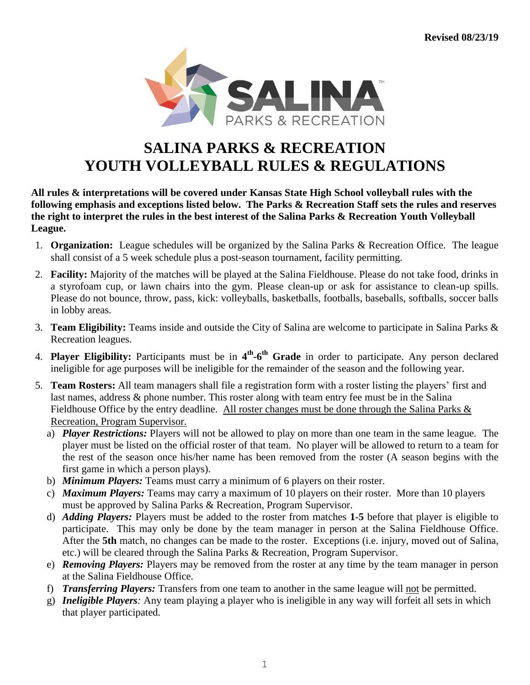

## **SALINA PARKS & RECREATION YOUTH VOLLEYBALL RULES & REGULATIONS**

**All rules & interpretations will be covered under Kansas State High School volleyball rules with the following emphasis and exceptions listed below. The Parks & Recreation Staff sets the rules and reserves the right to interpret the rules in the best interest of the Salina Parks & Recreation Youth Volleyball League.**

- 1. **Organization:** League schedules will be organized by the Salina Parks & Recreation Office. The league shall consist of a 5 week schedule plus a post-season tournament, facility permitting.
- 2. **Facility:** Majority of the matches will be played at the Salina Fieldhouse. Please do not take food, drinks in a styrofoam cup, or lawn chairs into the gym. Please clean-up or ask for assistance to clean-up spills. Please do not bounce, throw, pass, kick: volleyballs, basketballs, footballs, baseballs, softballs, soccer balls in lobby areas.
- 3. **Team Eligibility:** Teams inside and outside the City of Salina are welcome to participate in Salina Parks & Recreation leagues.
- 4. **Player Eligibility:** Participants must be in **4 th -6 th Grade** in order to participate. Any person declared ineligible for age purposes will be ineligible for the remainder of the season and the following year.
- 5. **Team Rosters:** All team managers shall file a registration form with a roster listing the players' first and last names, address & phone number. This roster along with team entry fee must be in the Salina Fieldhouse Office by the entry deadline. All roster changes must be done through the Salina Parks & Recreation, Program Supervisor.
	- a) *Player Restrictions:* Players will not be allowed to play on more than one team in the same league. The player must be listed on the official roster of that team. No player will be allowed to return to a team for the rest of the season once his/her name has been removed from the roster (A season begins with the first game in which a person plays).
	- b) *Minimum Players:* Teams must carry a minimum of 6 players on their roster.
	- c) *Maximum Players:* Teams may carry a maximum of 10 players on their roster. More than 10 players must be approved by Salina Parks & Recreation, Program Supervisor.
	- d) *Adding Players:* Players must be added to the roster from matches **1-5** before that player is eligible to participate. This may only be done by the team manager in person at the Salina Fieldhouse Office. After the **5th** match, no changes can be made to the roster. Exceptions (i.e. injury, moved out of Salina, etc.) will be cleared through the Salina Parks & Recreation, Program Supervisor.
	- e) *Removing Players:* Players may be removed from the roster at any time by the team manager in person at the Salina Fieldhouse Office.
	- f) *Transferring Players:* Transfers from one team to another in the same league will not be permitted.
	- g) *Ineligible Players:* Any team playing a player who is ineligible in any way will forfeit all sets in which that player participated.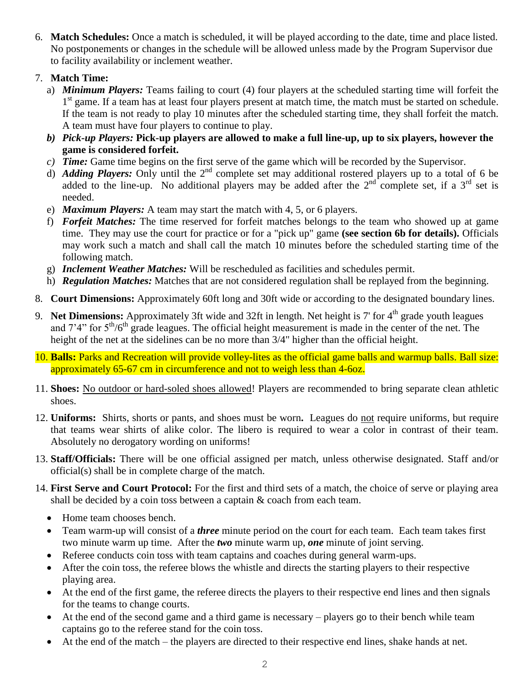- 6. **Match Schedules:** Once a match is scheduled, it will be played according to the date, time and place listed. No postponements or changes in the schedule will be allowed unless made by the Program Supervisor due to facility availability or inclement weather.
- 7. **Match Time:**
	- a) *Minimum Players:* Teams failing to court (4) four players at the scheduled starting time will forfeit the 1<sup>st</sup> game. If a team has at least four players present at match time, the match must be started on schedule. If the team is not ready to play 10 minutes after the scheduled starting time, they shall forfeit the match. A team must have four players to continue to play.
	- *b) Pick-up Players:* **Pick-up players are allowed to make a full line-up, up to six players, however the game is considered forfeit.**
	- *c) Time:* Game time begins on the first serve of the game which will be recorded by the Supervisor.
	- d) *Adding Players:* Only until the  $2^{nd}$  complete set may additional rostered players up to a total of 6 be added to the line-up. No additional players may be added after the  $2<sup>nd</sup>$  complete set, if a  $3<sup>rd</sup>$  set is needed.
	- e) *Maximum Players:* A team may start the match with 4, 5, or 6 players.
	- f) *Forfeit Matches:* The time reserved for forfeit matches belongs to the team who showed up at game time. They may use the court for practice or for a "pick up" game **(see section 6b for details).** Officials may work such a match and shall call the match 10 minutes before the scheduled starting time of the following match.
	- g) *Inclement Weather Matches:* Will be rescheduled as facilities and schedules permit.
	- h) *Regulation Matches:* Matches that are not considered regulation shall be replayed from the beginning.
- 8. **Court Dimensions:** Approximately 60ft long and 30ft wide or according to the designated boundary lines.
- 9. Net Dimensions: Approximately 3ft wide and 32ft in length. Net height is 7' for 4<sup>th</sup> grade youth leagues and  $7'4''$  for  $5<sup>th</sup>/6<sup>th</sup>$  grade leagues. The official height measurement is made in the center of the net. The height of the net at the sidelines can be no more than 3/4" higher than the official height.
- 10. **Balls:** Parks and Recreation will provide volley-lites as the official game balls and warmup balls. Ball size: approximately 65-67 cm in circumference and not to weigh less than 4-6oz.
- 11. **Shoes:** No outdoor or hard-soled shoes allowed! Players are recommended to bring separate clean athletic shoes.
- 12. **Uniforms:** Shirts, shorts or pants, and shoes must be worn**.** Leagues do not require uniforms, but require that teams wear shirts of alike color. The libero is required to wear a color in contrast of their team. Absolutely no derogatory wording on uniforms!
- 13. **Staff/Officials:** There will be one official assigned per match, unless otherwise designated. Staff and/or official(s) shall be in complete charge of the match.
- 14. **First Serve and Court Protocol:** For the first and third sets of a match, the choice of serve or playing area shall be decided by a coin toss between a captain & coach from each team.
	- Home team chooses bench.
	- Team warm-up will consist of a *three* minute period on the court for each team. Each team takes first two minute warm up time. After the *two* minute warm up, *one* minute of joint serving.
	- Referee conducts coin toss with team captains and coaches during general warm-ups.
	- After the coin toss, the referee blows the whistle and directs the starting players to their respective playing area.
	- At the end of the first game, the referee directs the players to their respective end lines and then signals for the teams to change courts.
	- At the end of the second game and a third game is necessary players go to their bench while team captains go to the referee stand for the coin toss.
	- At the end of the match the players are directed to their respective end lines, shake hands at net.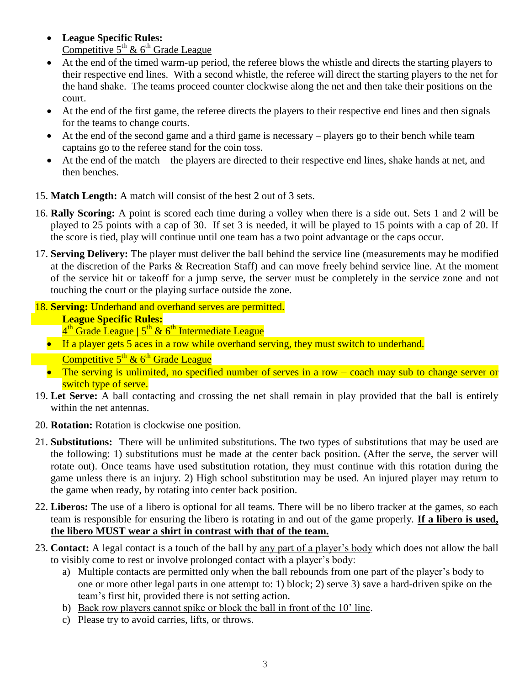- **League Specific Rules:** Competitive 5<sup>th</sup> & 6<sup>th</sup> Grade League
- At the end of the timed warm-up period, the referee blows the whistle and directs the starting players to their respective end lines. With a second whistle, the referee will direct the starting players to the net for the hand shake. The teams proceed counter clockwise along the net and then take their positions on the court.
- At the end of the first game, the referee directs the players to their respective end lines and then signals for the teams to change courts.
- At the end of the second game and a third game is necessary players go to their bench while team captains go to the referee stand for the coin toss.
- At the end of the match the players are directed to their respective end lines, shake hands at net, and then benches.
- 15. **Match Length:** A match will consist of the best 2 out of 3 sets.
- 16. **Rally Scoring:** A point is scored each time during a volley when there is a side out. Sets 1 and 2 will be played to 25 points with a cap of 30. If set 3 is needed, it will be played to 15 points with a cap of 20. If the score is tied, play will continue until one team has a two point advantage or the caps occur.
- 17. **Serving Delivery:** The player must deliver the ball behind the service line (measurements may be modified at the discretion of the Parks & Recreation Staff) and can move freely behind service line. At the moment of the service hit or takeoff for a jump serve, the server must be completely in the service zone and not touching the court or the playing surface outside the zone.
- 18. **Serving:** Underhand and overhand serves are permitted. **League Specific Rules:**
	- <u>4<sup>th</sup> Grade League | 5<sup>th</sup> & 6<sup>th</sup> Intermediate League</u>
	- If a player gets 5 aces in a row while overhand serving, they must switch to underhand.
		- Competitive  $5^{th}$  &  $6^{th}$  Grade League
	- The serving is unlimited, no specified number of serves in a row  $-$  coach may sub to change server or switch type of serve.
- 19. **Let Serve:** A ball contacting and crossing the net shall remain in play provided that the ball is entirely within the net antennas.
- 20. **Rotation:** Rotation is clockwise one position.
- 21. **Substitutions:** There will be unlimited substitutions. The two types of substitutions that may be used are the following: 1) substitutions must be made at the center back position. (After the serve, the server will rotate out). Once teams have used substitution rotation, they must continue with this rotation during the game unless there is an injury. 2) High school substitution may be used. An injured player may return to the game when ready, by rotating into center back position.
- 22. **Liberos:** The use of a libero is optional for all teams. There will be no libero tracker at the games, so each team is responsible for ensuring the libero is rotating in and out of the game properly. **If a libero is used, the libero MUST wear a shirt in contrast with that of the team.**
- 23. **Contact:** A legal contact is a touch of the ball by any part of a player's body which does not allow the ball to visibly come to rest or involve prolonged contact with a player's body:
	- a) Multiple contacts are permitted only when the ball rebounds from one part of the player's body to one or more other legal parts in one attempt to: 1) block; 2) serve 3) save a hard-driven spike on the team's first hit, provided there is not setting action.
	- b) Back row players cannot spike or block the ball in front of the 10' line.
	- c) Please try to avoid carries, lifts, or throws.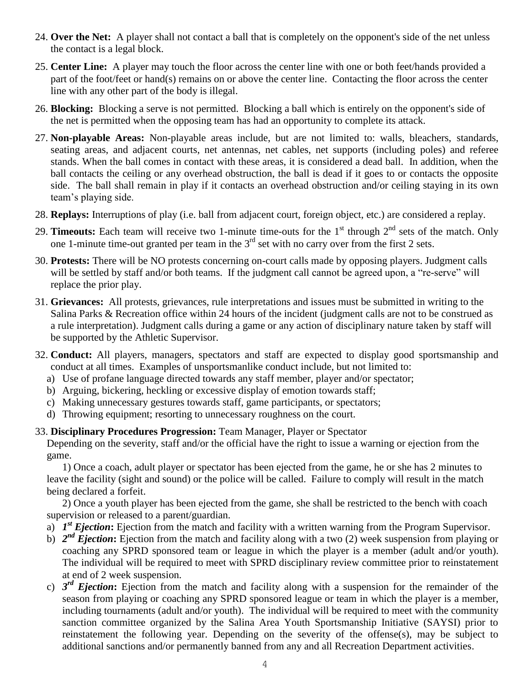- 24. **Over the Net:** A player shall not contact a ball that is completely on the opponent's side of the net unless the contact is a legal block.
- 25. **Center Line:** A player may touch the floor across the center line with one or both feet/hands provided a part of the foot/feet or hand(s) remains on or above the center line. Contacting the floor across the center line with any other part of the body is illegal.
- 26. **Blocking:** Blocking a serve is not permitted. Blocking a ball which is entirely on the opponent's side of the net is permitted when the opposing team has had an opportunity to complete its attack.
- 27. **Non-playable Areas:** Non-playable areas include, but are not limited to: walls, bleachers, standards, seating areas, and adjacent courts, net antennas, net cables, net supports (including poles) and referee stands. When the ball comes in contact with these areas, it is considered a dead ball. In addition, when the ball contacts the ceiling or any overhead obstruction, the ball is dead if it goes to or contacts the opposite side. The ball shall remain in play if it contacts an overhead obstruction and/or ceiling staying in its own team's playing side.
- 28. **Replays:** Interruptions of play (i.e. ball from adjacent court, foreign object, etc.) are considered a replay.
- 29. **Timeouts:** Each team will receive two 1-minute time-outs for the  $1<sup>st</sup>$  through  $2<sup>nd</sup>$  sets of the match. Only one 1-minute time-out granted per team in the  $3<sup>rd</sup>$  set with no carry over from the first 2 sets.
- 30. **Protests:** There will be NO protests concerning on-court calls made by opposing players. Judgment calls will be settled by staff and/or both teams. If the judgment call cannot be agreed upon, a "re-serve" will replace the prior play.
- 31. **Grievances:** All protests, grievances, rule interpretations and issues must be submitted in writing to the Salina Parks & Recreation office within 24 hours of the incident (judgment calls are not to be construed as a rule interpretation). Judgment calls during a game or any action of disciplinary nature taken by staff will be supported by the Athletic Supervisor.
- 32. **Conduct:** All players, managers, spectators and staff are expected to display good sportsmanship and conduct at all times. Examples of unsportsmanlike conduct include, but not limited to:
	- a) Use of profane language directed towards any staff member, player and/or spectator;
	- b) Arguing, bickering, heckling or excessive display of emotion towards staff;
	- c) Making unnecessary gestures towards staff, game participants, or spectators;
	- d) Throwing equipment; resorting to unnecessary roughness on the court.
- 33. **Disciplinary Procedures Progression:** Team Manager, Player or Spectator

Depending on the severity, staff and/or the official have the right to issue a warning or ejection from the game.

1) Once a coach, adult player or spectator has been ejected from the game, he or she has 2 minutes to leave the facility (sight and sound) or the police will be called. Failure to comply will result in the match being declared a forfeit.

2) Once a youth player has been ejected from the game, she shall be restricted to the bench with coach supervision or released to a parent/guardian.

- a)  $I<sup>st</sup>$  *Ejection*: Ejection from the match and facility with a written warning from the Program Supervisor.
- b)  $2^{nd}$  *Ejection*: Ejection from the match and facility along with a two (2) week suspension from playing or coaching any SPRD sponsored team or league in which the player is a member (adult and/or youth). The individual will be required to meet with SPRD disciplinary review committee prior to reinstatement at end of 2 week suspension.
- c) *3 rd Ejection***:** Ejection from the match and facility along with a suspension for the remainder of the season from playing or coaching any SPRD sponsored league or team in which the player is a member, including tournaments (adult and/or youth). The individual will be required to meet with the community sanction committee organized by the Salina Area Youth Sportsmanship Initiative (SAYSI) prior to reinstatement the following year. Depending on the severity of the offense(s), may be subject to additional sanctions and/or permanently banned from any and all Recreation Department activities.